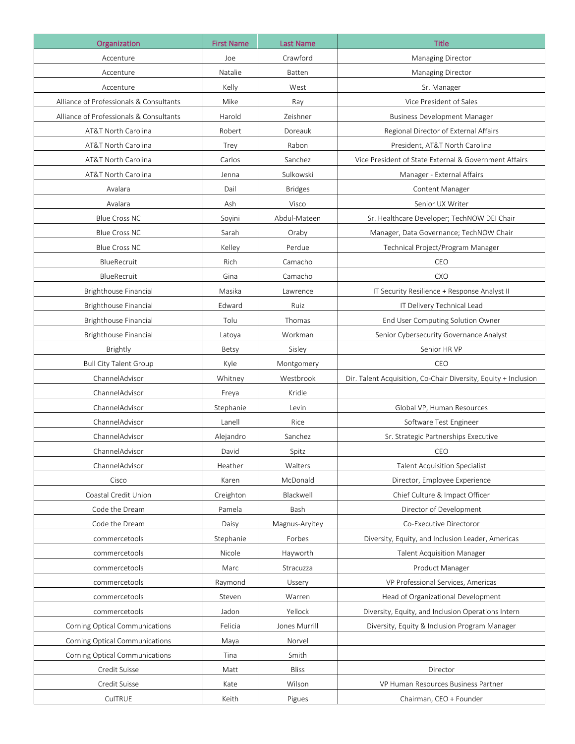| Organization                            | <b>First Name</b> | <b>Last Name</b> | <b>Title</b>                                                    |
|-----------------------------------------|-------------------|------------------|-----------------------------------------------------------------|
| Accenture                               | Joe               | Crawford         | Managing Director                                               |
| Accenture                               | Natalie           | Batten           | Managing Director                                               |
| Accenture                               | Kelly             | West             | Sr. Manager                                                     |
| Alliance of Professionals & Consultants | Mike              | Ray              | Vice President of Sales                                         |
| Alliance of Professionals & Consultants | Harold            | Zeishner         | <b>Business Development Manager</b>                             |
| AT&T North Carolina                     | Robert            | Doreauk          | Regional Director of External Affairs                           |
| AT&T North Carolina                     | Trey              | Rabon            | President, AT&T North Carolina                                  |
| AT&T North Carolina                     | Carlos            | Sanchez          | Vice President of State External & Government Affairs           |
| AT&T North Carolina                     | Jenna             | Sulkowski        | Manager - External Affairs                                      |
| Avalara                                 | Dail              | <b>Bridges</b>   | Content Manager                                                 |
| Avalara                                 | Ash               | Visco            | Senior UX Writer                                                |
| <b>Blue Cross NC</b>                    | Soyini            | Abdul-Mateen     | Sr. Healthcare Developer; TechNOW DEI Chair                     |
| <b>Blue Cross NC</b>                    | Sarah             | Oraby            | Manager, Data Governance; TechNOW Chair                         |
| <b>Blue Cross NC</b>                    | Kelley            | Perdue           | Technical Project/Program Manager                               |
| BlueRecruit                             | Rich              | Camacho          | CEO                                                             |
| BlueRecruit                             | Gina              | Camacho          | <b>CXO</b>                                                      |
| Brighthouse Financial                   | Masika            | Lawrence         | IT Security Resilience + Response Analyst II                    |
| Brighthouse Financial                   | Edward            | Ruiz             | IT Delivery Technical Lead                                      |
| Brighthouse Financial                   | Tolu              | Thomas           | End User Computing Solution Owner                               |
| Brighthouse Financial                   | Latoya            | Workman          | Senior Cybersecurity Governance Analyst                         |
| Brightly                                | Betsy             | Sisley           | Senior HR VP                                                    |
| <b>Bull City Talent Group</b>           | Kyle              | Montgomery       | CEO                                                             |
| ChannelAdvisor                          | Whitney           | Westbrook        | Dir. Talent Acquisition, Co-Chair Diversity, Equity + Inclusion |
| ChannelAdvisor                          | Freya             | Kridle           |                                                                 |
| ChannelAdvisor                          | Stephanie         | Levin            | Global VP, Human Resources                                      |
| ChannelAdvisor                          | Lanell            | Rice             | Software Test Engineer                                          |
| ChannelAdvisor                          | Alejandro         | Sanchez          | Sr. Strategic Partnerships Executive                            |
| ChannelAdvisor                          | David             | Spitz            | CEO                                                             |
| ChannelAdvisor                          | Heather           | Walters          | <b>Talent Acquisition Specialist</b>                            |
| Cisco                                   | Karen             | McDonald         | Director, Employee Experience                                   |
| Coastal Credit Union                    | Creighton         | Blackwell        | Chief Culture & Impact Officer                                  |
| Code the Dream                          | Pamela            | Bash             | Director of Development                                         |
| Code the Dream                          | Daisy             | Magnus-Aryitey   | Co-Executive Directoror                                         |
| commercetools                           | Stephanie         | Forbes           | Diversity, Equity, and Inclusion Leader, Americas               |
| commercetools                           | Nicole            | Hayworth         | <b>Talent Acquisition Manager</b>                               |
| commercetools                           | Marc              | Stracuzza        | Product Manager                                                 |
| commercetools                           | Raymond           | Ussery           | VP Professional Services, Americas                              |
| commercetools                           | Steven            | Warren           | Head of Organizational Development                              |
| commercetools                           | Jadon             | Yellock          | Diversity, Equity, and Inclusion Operations Intern              |
| Corning Optical Communications          | Felicia           | Jones Murrill    | Diversity, Equity & Inclusion Program Manager                   |
| Corning Optical Communications          | Maya              | Norvel           |                                                                 |
| Corning Optical Communications          | Tina              | Smith            |                                                                 |
| Credit Suisse                           | Matt              | Bliss            | Director                                                        |
| Credit Suisse                           | Kate              | Wilson           | VP Human Resources Business Partner                             |
| CulTRUE                                 | Keith             | Pigues           | Chairman, CEO + Founder                                         |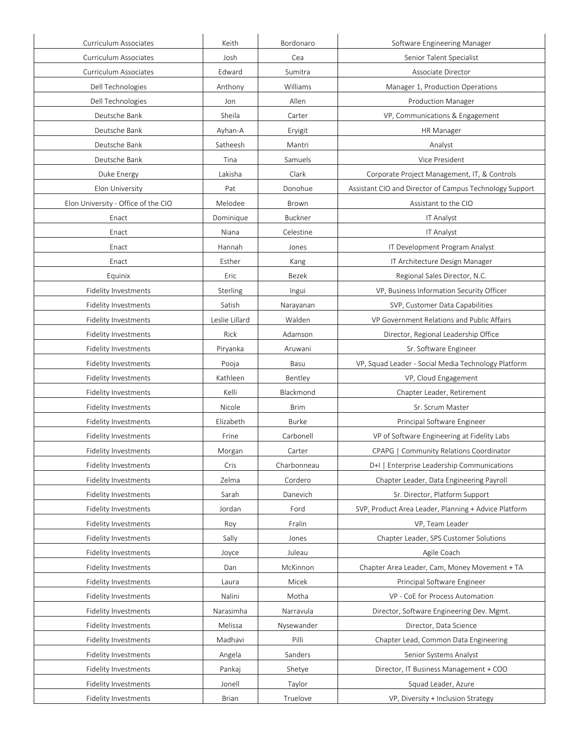| Curriculum Associates               | Keith          | Bordonaro   | Software Engineering Manager                            |
|-------------------------------------|----------------|-------------|---------------------------------------------------------|
| Curriculum Associates               | Josh           | Cea         | Senior Talent Specialist                                |
| Curriculum Associates               | Edward         | Sumitra     | Associate Director                                      |
| Dell Technologies                   | Anthony        | Williams    | Manager 1, Production Operations                        |
| Dell Technologies                   | Jon            | Allen       | <b>Production Manager</b>                               |
| Deutsche Bank                       | Sheila         | Carter      | VP, Communications & Engagement                         |
| Deutsche Bank                       | Ayhan-A        | Eryigit     | <b>HR</b> Manager                                       |
| Deutsche Bank                       | Satheesh       | Mantri      | Analyst                                                 |
| Deutsche Bank                       | Tina           | Samuels     | Vice President                                          |
| Duke Energy                         | Lakisha        | Clark       | Corporate Project Management, IT, & Controls            |
| Elon University                     | Pat            | Donohue     | Assistant CIO and Director of Campus Technology Support |
| Elon University - Office of the CIO | Melodee        | Brown       | Assistant to the CIO                                    |
| Enact                               | Dominique      | Buckner     | IT Analyst                                              |
| Enact                               | Niana          | Celestine   | IT Analyst                                              |
| Enact                               | Hannah         | Jones       | IT Development Program Analyst                          |
| Enact                               | Esther         | Kang        | IT Architecture Design Manager                          |
| Equinix                             | Eric           | Bezek       | Regional Sales Director, N.C.                           |
| Fidelity Investments                | Sterling       | Ingui       | VP, Business Information Security Officer               |
| Fidelity Investments                | Satish         | Narayanan   | SVP, Customer Data Capabilities                         |
| Fidelity Investments                | Leslie Lillard | Walden      | VP Government Relations and Public Affairs              |
| Fidelity Investments                | Rick           | Adamson     | Director, Regional Leadership Office                    |
| <b>Fidelity Investments</b>         | Piryanka       | Aruwani     | Sr. Software Engineer                                   |
| Fidelity Investments                | Pooja          | Basu        | VP, Squad Leader - Social Media Technology Platform     |
| Fidelity Investments                | Kathleen       | Bentley     | VP, Cloud Engagement                                    |
| Fidelity Investments                | Kelli          | Blackmond   | Chapter Leader, Retirement                              |
| Fidelity Investments                | Nicole         | <b>Brim</b> | Sr. Scrum Master                                        |
| Fidelity Investments                | Elizabeth      | Burke       | Principal Software Engineer                             |
| <b>Fidelity Investments</b>         | Frine          | Carbonell   | VP of Software Engineering at Fidelity Labs             |
| Fidelity Investments                | Morgan         | Carter      | CPAPG   Community Relations Coordinator                 |
| Fidelity Investments                | Cris           | Charbonneau | D+I   Enterprise Leadership Communications              |
| Fidelity Investments                | Zelma          | Cordero     | Chapter Leader, Data Engineering Payroll                |
| Fidelity Investments                | Sarah          | Danevich    | Sr. Director, Platform Support                          |
| Fidelity Investments                | Jordan         | Ford        | SVP, Product Area Leader, Planning + Advice Platform    |
| Fidelity Investments                | Roy            | Fralin      | VP, Team Leader                                         |
| Fidelity Investments                | Sally          | Jones       | Chapter Leader, SPS Customer Solutions                  |
| Fidelity Investments                | Joyce          | Juleau      | Agile Coach                                             |
| Fidelity Investments                | Dan            | McKinnon    | Chapter Area Leader, Cam, Money Movement + TA           |
| Fidelity Investments                | Laura          | Micek       | Principal Software Engineer                             |
| Fidelity Investments                | Nalini         | Motha       | VP - CoE for Process Automation                         |
| Fidelity Investments                | Narasimha      | Narravula   | Director, Software Engineering Dev. Mgmt.               |
| Fidelity Investments                | Melissa        | Nysewander  | Director, Data Science                                  |
| Fidelity Investments                | Madhavi        | Pilli       | Chapter Lead, Common Data Engineering                   |
| Fidelity Investments                | Angela         | Sanders     | Senior Systems Analyst                                  |
| Fidelity Investments                | Pankaj         | Shetye      | Director, IT Business Management + COO                  |
| Fidelity Investments                | Jonell         | Taylor      | Squad Leader, Azure                                     |
|                                     | Brian          | Truelove    | VP, Diversity + Inclusion Strategy                      |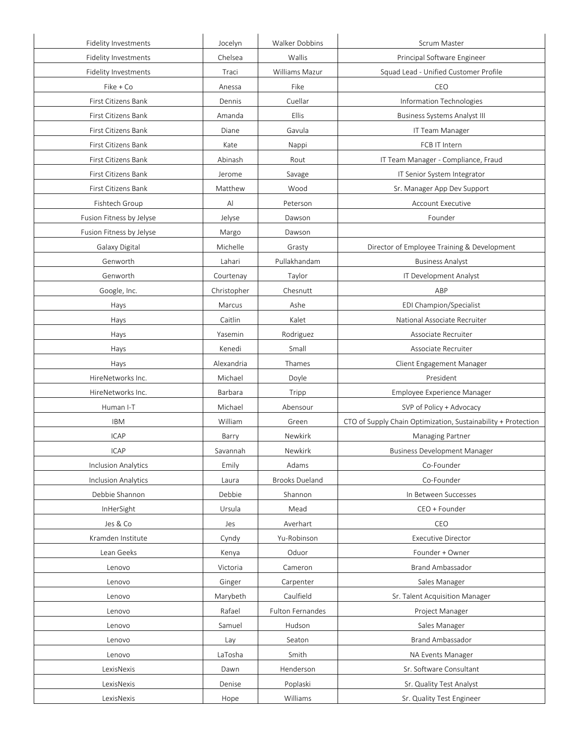| Fidelity Investments       | Jocelyn     | Walker Dobbins        | Scrum Master                                                  |
|----------------------------|-------------|-----------------------|---------------------------------------------------------------|
| Fidelity Investments       | Chelsea     | Wallis                | Principal Software Engineer                                   |
| Fidelity Investments       | Traci       | Williams Mazur        | Squad Lead - Unified Customer Profile                         |
| Fike + Co                  | Anessa      | Fike                  | CEO                                                           |
| First Citizens Bank        | Dennis      | Cuellar               | Information Technologies                                      |
| First Citizens Bank        | Amanda      | Ellis                 | <b>Business Systems Analyst III</b>                           |
| First Citizens Bank        | Diane       | Gavula                | IT Team Manager                                               |
| <b>First Citizens Bank</b> | Kate        | Nappi                 | FCB IT Intern                                                 |
| First Citizens Bank        | Abinash     | Rout                  | IT Team Manager - Compliance, Fraud                           |
| First Citizens Bank        | Jerome      | Savage                | IT Senior System Integrator                                   |
| First Citizens Bank        | Matthew     | Wood                  | Sr. Manager App Dev Support                                   |
| Fishtech Group             | Al          | Peterson              | <b>Account Executive</b>                                      |
| Fusion Fitness by Jelyse   | Jelyse      | Dawson                | Founder                                                       |
| Fusion Fitness by Jelyse   | Margo       | Dawson                |                                                               |
| Galaxy Digital             | Michelle    | Grasty                | Director of Employee Training & Development                   |
| Genworth                   | Lahari      | Pullakhandam          | <b>Business Analyst</b>                                       |
| Genworth                   | Courtenay   | Taylor                | IT Development Analyst                                        |
| Google, Inc.               | Christopher | Chesnutt              | ABP                                                           |
| Hays                       | Marcus      | Ashe                  | EDI Champion/Specialist                                       |
| Hays                       | Caitlin     | Kalet                 | National Associate Recruiter                                  |
| Hays                       | Yasemin     | Rodriguez             | Associate Recruiter                                           |
| Hays                       | Kenedi      | Small                 | Associate Recruiter                                           |
| Hays                       | Alexandria  | Thames                | Client Engagement Manager                                     |
| HireNetworks Inc.          | Michael     | Doyle                 | President                                                     |
| HireNetworks Inc.          | Barbara     | Tripp                 | Employee Experience Manager                                   |
| Human I-T                  | Michael     | Abensour              | SVP of Policy + Advocacy                                      |
| <b>IBM</b>                 | William     | Green                 | CTO of Supply Chain Optimization, Sustainability + Protection |
| <b>ICAP</b>                | Barry       | Newkirk               | Managing Partner                                              |
| <b>ICAP</b>                | Savannah    | Newkirk               | <b>Business Development Manager</b>                           |
| <b>Inclusion Analytics</b> | Emily       | Adams                 | Co-Founder                                                    |
| <b>Inclusion Analytics</b> | Laura       | <b>Brooks Dueland</b> | Co-Founder                                                    |
| Debbie Shannon             | Debbie      | Shannon               | In Between Successes                                          |
| InHerSight                 | Ursula      | Mead                  | CEO + Founder                                                 |
| Jes & Co                   | Jes         | Averhart              | CEO                                                           |
| Kramden Institute          | Cyndy       | Yu-Robinson           | <b>Executive Director</b>                                     |
| Lean Geeks                 | Kenya       | Oduor                 | Founder + Owner                                               |
| Lenovo                     | Victoria    | Cameron               | <b>Brand Ambassador</b>                                       |
| Lenovo                     | Ginger      | Carpenter             | Sales Manager                                                 |
| Lenovo                     | Marybeth    | Caulfield             | Sr. Talent Acquisition Manager                                |
| Lenovo                     | Rafael      | Fulton Fernandes      | Project Manager                                               |
| Lenovo                     | Samuel      | Hudson                | Sales Manager                                                 |
| Lenovo                     | Lay         | Seaton                | Brand Ambassador                                              |
| Lenovo                     | LaTosha     | Smith                 | NA Events Manager                                             |
| LexisNexis                 | Dawn        | Henderson             | Sr. Software Consultant                                       |
| LexisNexis                 | Denise      | Poplaski              | Sr. Quality Test Analyst                                      |
| LexisNexis                 | Hope        | Williams              | Sr. Quality Test Engineer                                     |
|                            |             |                       |                                                               |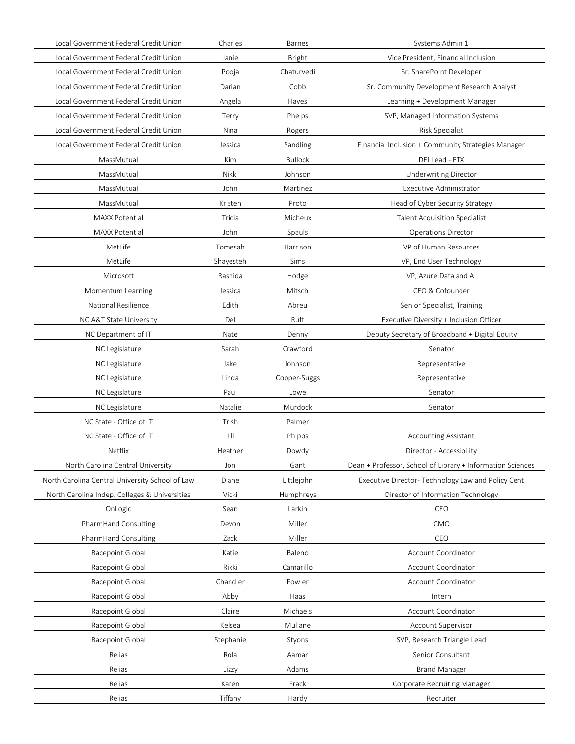| Local Government Federal Credit Union           | Charles   | <b>Barnes</b>  | Systems Admin 1                                            |
|-------------------------------------------------|-----------|----------------|------------------------------------------------------------|
| Local Government Federal Credit Union           | Janie     | Bright         | Vice President, Financial Inclusion                        |
| Local Government Federal Credit Union           | Pooja     | Chaturvedi     | Sr. SharePoint Developer                                   |
| Local Government Federal Credit Union           | Darian    | Cobb           | Sr. Community Development Research Analyst                 |
| Local Government Federal Credit Union           | Angela    | Hayes          | Learning + Development Manager                             |
| Local Government Federal Credit Union           | Terry     | Phelps         | SVP, Managed Information Systems                           |
| Local Government Federal Credit Union           | Nina      | Rogers         | <b>Risk Specialist</b>                                     |
| Local Government Federal Credit Union           | Jessica   | Sandling       | Financial Inclusion + Community Strategies Manager         |
| MassMutual                                      | Kim       | <b>Bullock</b> | DEI Lead - ETX                                             |
| MassMutual                                      | Nikki     | Johnson        | Underwriting Director                                      |
| MassMutual                                      | John      | Martinez       | Executive Administrator                                    |
| MassMutual                                      | Kristen   | Proto          | Head of Cyber Security Strategy                            |
| <b>MAXX Potential</b>                           | Tricia    | Micheux        | <b>Talent Acquisition Specialist</b>                       |
| <b>MAXX Potential</b>                           | John      | Spauls         | <b>Operations Director</b>                                 |
| MetLife                                         | Tomesah   | Harrison       | VP of Human Resources                                      |
| MetLife                                         | Shayesteh | Sims           | VP, End User Technology                                    |
| Microsoft                                       | Rashida   | Hodge          | VP, Azure Data and AI                                      |
| Momentum Learning                               | Jessica   | Mitsch         | CEO & Cofounder                                            |
| National Resilience                             | Edith     | Abreu          | Senior Specialist, Training                                |
| NC A&T State University                         | Del       | Ruff           | Executive Diversity + Inclusion Officer                    |
| NC Department of IT                             | Nate      | Denny          | Deputy Secretary of Broadband + Digital Equity             |
| NC Legislature                                  | Sarah     | Crawford       | Senator                                                    |
| NC Legislature                                  | Jake      | Johnson        | Representative                                             |
| NC Legislature                                  | Linda     | Cooper-Suggs   | Representative                                             |
| NC Legislature                                  | Paul      | Lowe           | Senator                                                    |
| NC Legislature                                  | Natalie   | Murdock        | Senator                                                    |
| NC State - Office of IT                         | Trish     | Palmer         |                                                            |
| NC State - Office of IT                         | Jill      | Phipps         | <b>Accounting Assistant</b>                                |
| Netflix                                         | Heather   | Dowdy          | Director - Accessibility                                   |
| North Carolina Central University               | Jon       | Gant           | Dean + Professor, School of Library + Information Sciences |
| North Carolina Central University School of Law | Diane     | Littlejohn     | Executive Director- Technology Law and Policy Cent         |
| North Carolina Indep. Colleges & Universities   | Vicki     | Humphreys      | Director of Information Technology                         |
| OnLogic                                         | Sean      | Larkin         | CEO                                                        |
| PharmHand Consulting                            | Devon     | Miller         | CMO                                                        |
| PharmHand Consulting                            | Zack      | Miller         | CEO                                                        |
| Racepoint Global                                | Katie     | Baleno         | Account Coordinator                                        |
| Racepoint Global                                | Rikki     | Camarillo      | Account Coordinator                                        |
| Racepoint Global                                | Chandler  | Fowler         | Account Coordinator                                        |
| Racepoint Global                                | Abby      | Haas           | Intern                                                     |
| Racepoint Global                                | Claire    | Michaels       | Account Coordinator                                        |
| Racepoint Global                                | Kelsea    | Mullane        | Account Supervisor                                         |
| Racepoint Global                                | Stephanie | Styons         | SVP, Research Triangle Lead                                |
| Relias                                          | Rola      | Aamar          | Senior Consultant                                          |
| Relias                                          | Lizzy     | Adams          | <b>Brand Manager</b>                                       |
| Relias                                          | Karen     | Frack          | Corporate Recruiting Manager                               |
| Relias                                          | Tiffany   | Hardy          | Recruiter                                                  |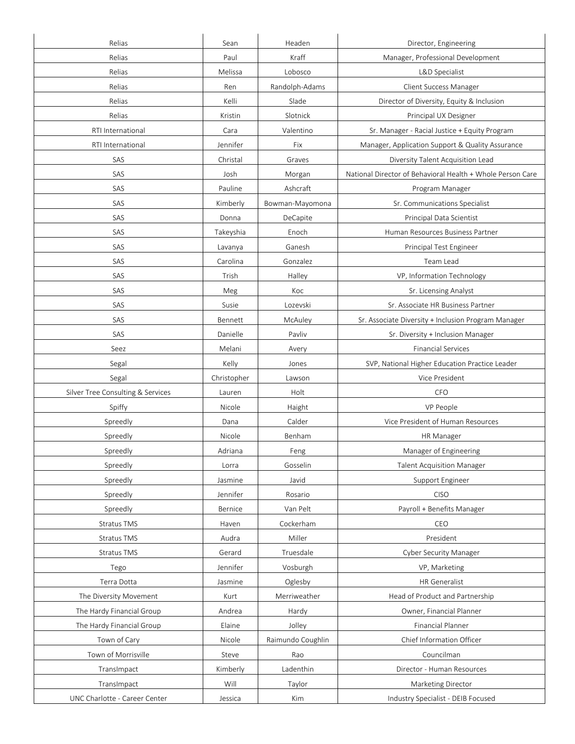| Relias                            | Sean        | Headen            | Director, Engineering                                      |
|-----------------------------------|-------------|-------------------|------------------------------------------------------------|
| Relias                            | Paul        | Kraff             | Manager, Professional Development                          |
| Relias                            | Melissa     | Lobosco           | L&D Specialist                                             |
| Relias                            | Ren         | Randolph-Adams    | Client Success Manager                                     |
| Relias                            | Kelli       | Slade             | Director of Diversity, Equity & Inclusion                  |
| Relias                            | Kristin     | Slotnick          | Principal UX Designer                                      |
| RTI International                 | Cara        | Valentino         | Sr. Manager - Racial Justice + Equity Program              |
| RTI International                 | Jennifer    | Fix               | Manager, Application Support & Quality Assurance           |
| SAS                               | Christal    | Graves            | Diversity Talent Acquisition Lead                          |
| SAS                               | Josh        | Morgan            | National Director of Behavioral Health + Whole Person Care |
| SAS                               | Pauline     | Ashcraft          | Program Manager                                            |
| SAS                               | Kimberly    | Bowman-Mayomona   | Sr. Communications Specialist                              |
| SAS                               | Donna       | DeCapite          | Principal Data Scientist                                   |
| SAS                               | Takeyshia   | Enoch             | Human Resources Business Partner                           |
| SAS                               | Lavanya     | Ganesh            | Principal Test Engineer                                    |
| SAS                               | Carolina    | Gonzalez          | Team Lead                                                  |
| SAS                               | Trish       | Halley            | VP, Information Technology                                 |
| SAS                               | Meg         | Koc               | Sr. Licensing Analyst                                      |
| SAS                               | Susie       | Lozevski          | Sr. Associate HR Business Partner                          |
| SAS                               | Bennett     | McAuley           | Sr. Associate Diversity + Inclusion Program Manager        |
| SAS                               | Danielle    | Pavliv            | Sr. Diversity + Inclusion Manager                          |
| Seez                              | Melani      | Avery             | <b>Financial Services</b>                                  |
| Segal                             | Kelly       | Jones             | SVP, National Higher Education Practice Leader             |
| Segal                             | Christopher | Lawson            | Vice President                                             |
| Silver Tree Consulting & Services | Lauren      | Holt              | <b>CFO</b>                                                 |
| Spiffy                            | Nicole      | Haight            | VP People                                                  |
| Spreedly                          | Dana        | Calder            | Vice President of Human Resources                          |
| Spreedly                          | Nicole      | Benham            | HR Manager                                                 |
| Spreedly                          | Adriana     | Feng              | Manager of Engineering                                     |
| Spreedly                          | Lorra       | Gosselin          | <b>Talent Acquisition Manager</b>                          |
| Spreedly                          | Jasmine     | Javid             | Support Engineer                                           |
| Spreedly                          | Jennifer    | Rosario           | <b>CISO</b>                                                |
| Spreedly                          | Bernice     | Van Pelt          | Payroll + Benefits Manager                                 |
| Stratus TMS                       | Haven       | Cockerham         | CEO                                                        |
| Stratus TMS                       | Audra       | Miller            | President                                                  |
| Stratus TMS                       | Gerard      | Truesdale         | Cyber Security Manager                                     |
| Tego                              | Jennifer    | Vosburgh          | VP, Marketing                                              |
| Terra Dotta                       | Jasmine     | Oglesby           | <b>HR</b> Generalist                                       |
| The Diversity Movement            | Kurt        | Merriweather      | Head of Product and Partnership                            |
| The Hardy Financial Group         | Andrea      | Hardy             | Owner, Financial Planner                                   |
| The Hardy Financial Group         | Elaine      | Jolley            | Financial Planner                                          |
| Town of Cary                      | Nicole      | Raimundo Coughlin | Chief Information Officer                                  |
| Town of Morrisville               | Steve       | Rao               | Councilman                                                 |
| TransImpact                       |             |                   |                                                            |
|                                   | Kimberly    | Ladenthin         | Director - Human Resources                                 |
| TransImpact                       | Will        | Taylor            | Marketing Director                                         |
| UNC Charlotte - Career Center     | Jessica     | Kim               | Industry Specialist - DEIB Focused                         |